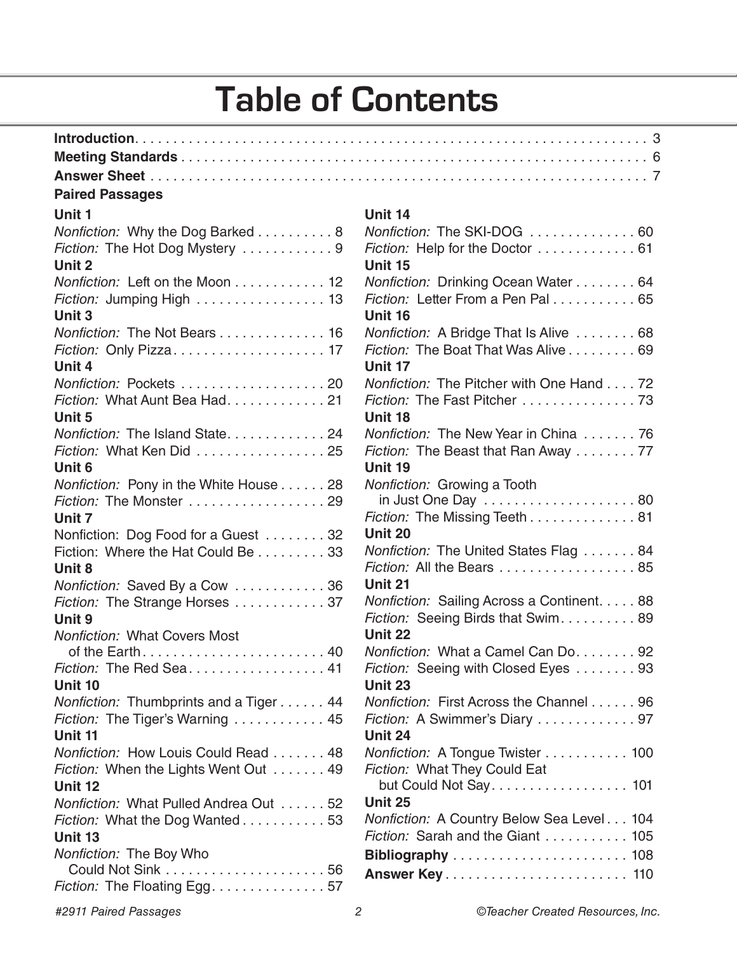## **Table of Contents**

### **Paired Passages**

#### **Unit 1**

| Nonfiction: Why the Dog Barked 8<br>Fiction: The Hot Dog Mystery 9 |
|--------------------------------------------------------------------|
| Unit 2                                                             |
| Nonfiction: Left on the Moon 12                                    |
| Fiction: Jumping High  13                                          |
| Unit 3                                                             |
| Nonfiction: The Not Bears 16                                       |
|                                                                    |
| Unit 4                                                             |
| Nonfiction: Pockets 20                                             |
| Fiction: What Aunt Bea Had. 21                                     |
| Unit 5                                                             |
| Nonfiction: The Island State24                                     |
| Fiction: What Ken Did  25                                          |
| Unit <sub>6</sub>                                                  |
| Nonfiction: Pony in the White House 28                             |
| Fiction: The Monster 29                                            |
| Unit 7                                                             |
| Nonfiction: Dog Food for a Guest 32                                |
| Fiction: Where the Hat Could Be 33                                 |
| Unit 8                                                             |
| Nonfiction: Saved By a Cow 36                                      |
| Fiction: The Strange Horses 37                                     |
| Unit 9                                                             |
| <b>Nonfiction: What Covers Most</b>                                |
| of the Earth 40                                                    |
| Fiction: The Red Sea 41                                            |
| Unit 10                                                            |
| Nonfiction: Thumbprints and a Tiger 44                             |
| Fiction: The Tiger's Warning  45                                   |
| Unit 11                                                            |
| Nonfiction: How Louis Could Read 48                                |
| Fiction: When the Lights Went Out 49                               |
| Unit 12                                                            |
| Nonfiction: What Pulled Andrea Out 52                              |
| Fiction: What the Dog Wanted 53                                    |
| Unit 13                                                            |
| Nonfiction: The Boy Who                                            |
|                                                                    |
| Fiction: The Floating Egg. 57                                      |

#### **Unit 14**

| Nonfiction: The SKI-DOG  60                |
|--------------------------------------------|
| Fiction: Help for the Doctor 61            |
| Unit 15                                    |
| Nonfiction: Drinking Ocean Water 64        |
| Fiction: Letter From a Pen Pal 65          |
| Unit 16                                    |
| Nonfiction: A Bridge That Is Alive  68     |
| Fiction: The Boat That Was Alive 69        |
| Unit 17                                    |
| Nonfiction: The Pitcher with One Hand 72   |
| Fiction: The Fast Pitcher 73               |
| Unit 18                                    |
| Nonfiction: The New Year in China  76      |
| Fiction: The Beast that Ran Away  77       |
| Unit 19                                    |
| Nonfiction: Growing a Tooth                |
|                                            |
| Fiction: The Missing Teeth 81              |
| Unit 20                                    |
| Nonfiction: The United States Flag 84      |
| Fiction: All the Bears 85                  |
| Unit 21                                    |
| Nonfiction: Sailing Across a Continent. 88 |
| Fiction: Seeing Birds that Swim. 89        |
| Unit 22                                    |
| Nonfiction: What a Camel Can Do. 92        |
| Fiction: Seeing with Closed Eyes  93       |
| Unit 23                                    |
| Nonfiction: First Across the Channel 96    |
| Fiction: A Swimmer's Diary  97             |
| Unit 24                                    |
| Nonfiction: A Tongue Twister 100           |
| Fiction: What They Could Eat               |
| but Could Not Say 101                      |
| Unit 25                                    |
| Nonfiction: A Country Below Sea Level 104  |
| Fiction: Sarah and the Giant  105          |
|                                            |
|                                            |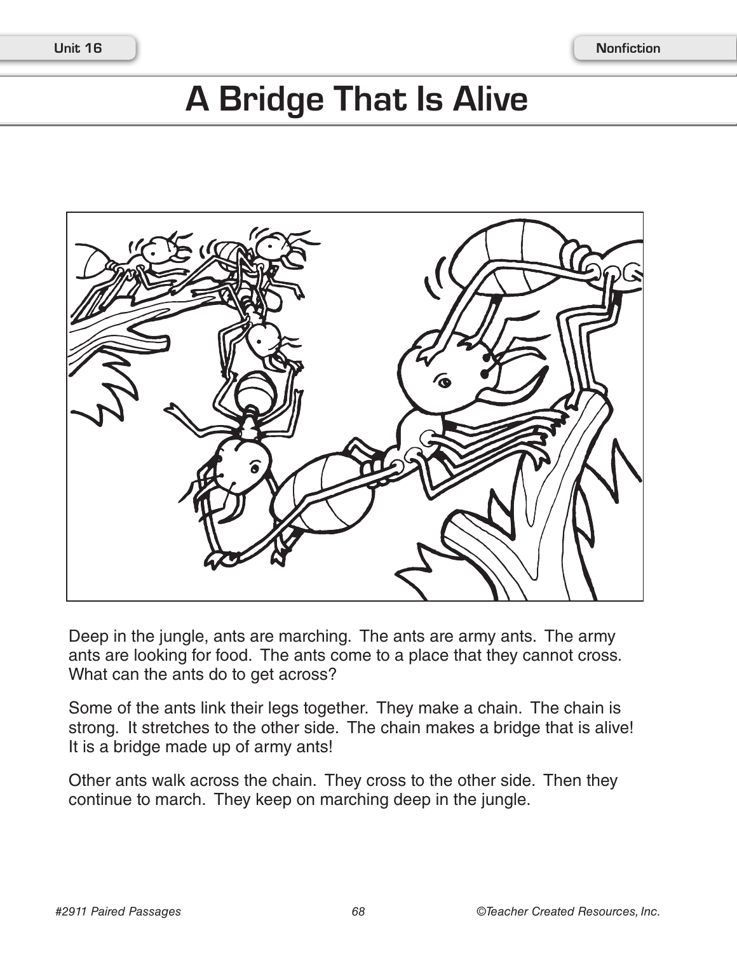# **A Bridge That Is Alive**



Deep in the jungle, ants are marching. The ants are army ants. The army ants are looking for food. The ants come to a place that they cannot cross. What can the ants do to get across?

Some of the ants link their legs together. They make a chain. The chain is strong. It stretches to the other side. The chain makes a bridge that is alive! It is a bridge made up of army ants!

Other ants walk across the chain. They cross to the other side. Then they continue to march. They keep on marching deep in the jungle.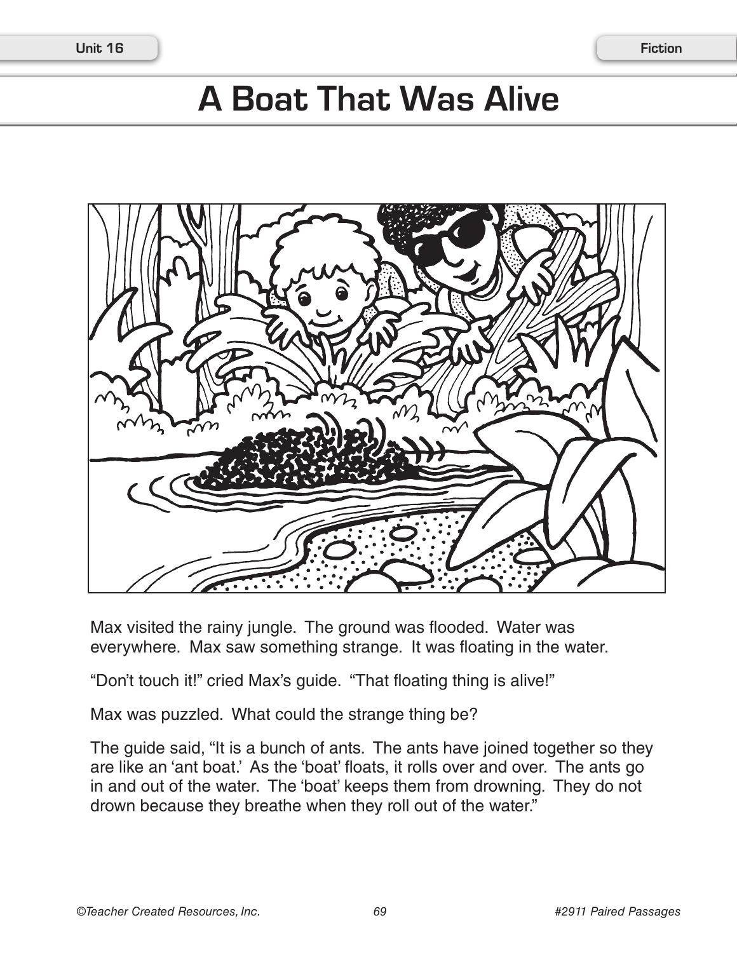## **A Boat That Was Alive**



Max visited the rainy jungle. The ground was flooded. Water was everywhere. Max saw something strange. It was floating in the water.

"Don't touch it!" cried Max's guide. "That floating thing is alive!"

Max was puzzled. What could the strange thing be?

The guide said, "It is a bunch of ants. The ants have joined together so they are like an 'ant boat.' As the 'boat' floats, it rolls over and over. The ants go in and out of the water. The 'boat' keeps them from drowning. They do not drown because they breathe when they roll out of the water."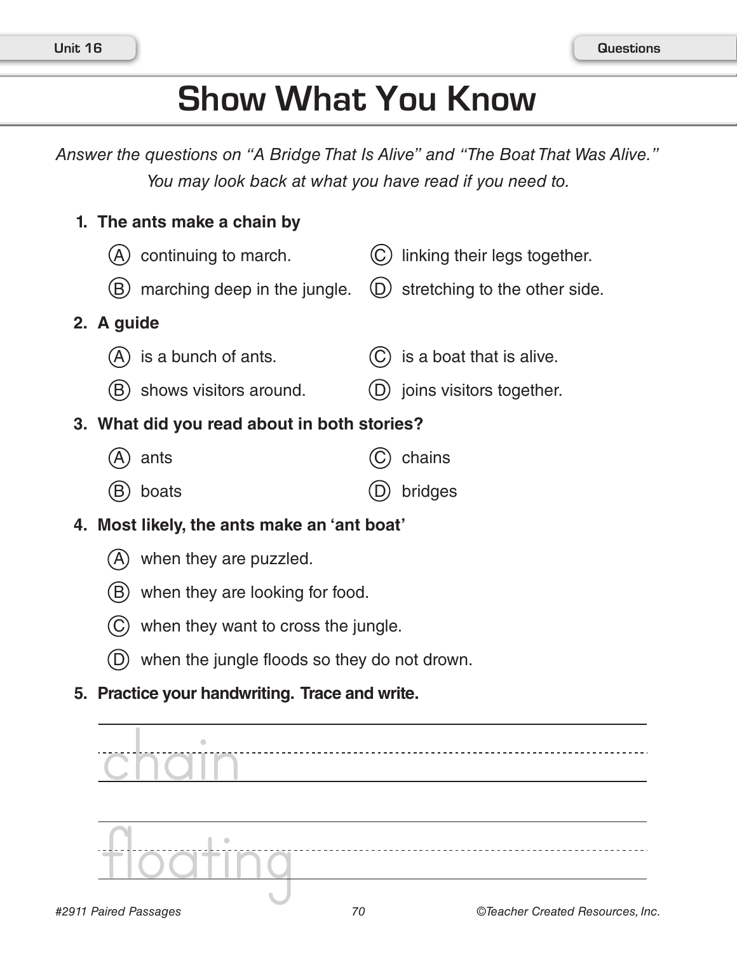## **Show What You Know**

*Answer the questions on "A Bridge That Is Alive" and "The Boat That Was Alive." You may look back at what you have read if you need to.*